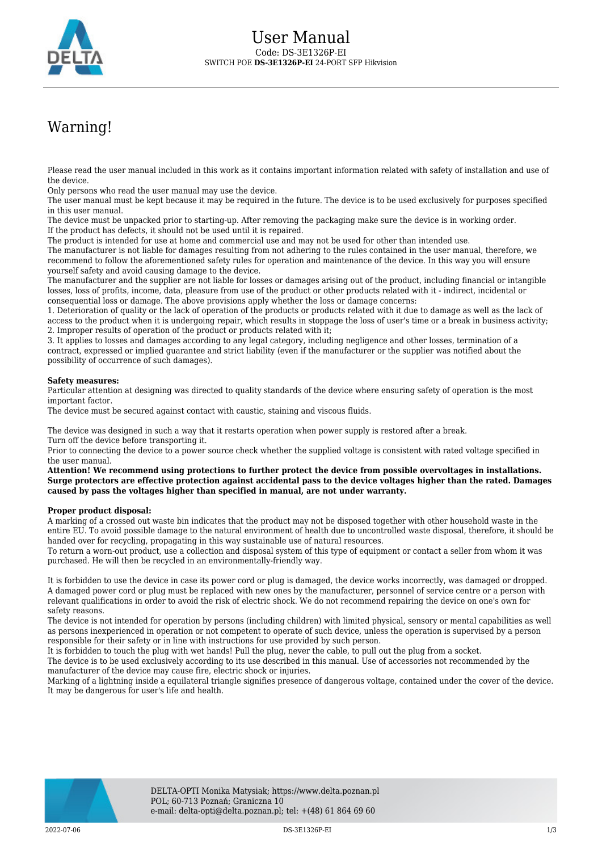

## Warning!

Please read the user manual included in this work as it contains important information related with safety of installation and use of the device.

Only persons who read the user manual may use the device.

The user manual must be kept because it may be required in the future. The device is to be used exclusively for purposes specified in this user manual.

The device must be unpacked prior to starting-up. After removing the packaging make sure the device is in working order. If the product has defects, it should not be used until it is repaired.

The product is intended for use at home and commercial use and may not be used for other than intended use.

The manufacturer is not liable for damages resulting from not adhering to the rules contained in the user manual, therefore, we recommend to follow the aforementioned safety rules for operation and maintenance of the device. In this way you will ensure yourself safety and avoid causing damage to the device.

The manufacturer and the supplier are not liable for losses or damages arising out of the product, including financial or intangible losses, loss of profits, income, data, pleasure from use of the product or other products related with it - indirect, incidental or consequential loss or damage. The above provisions apply whether the loss or damage concerns:

1. Deterioration of quality or the lack of operation of the products or products related with it due to damage as well as the lack of access to the product when it is undergoing repair, which results in stoppage the loss of user's time or a break in business activity; 2. Improper results of operation of the product or products related with it;

3. It applies to losses and damages according to any legal category, including negligence and other losses, termination of a contract, expressed or implied guarantee and strict liability (even if the manufacturer or the supplier was notified about the possibility of occurrence of such damages).

## **Safety measures:**

Particular attention at designing was directed to quality standards of the device where ensuring safety of operation is the most important factor.

The device must be secured against contact with caustic, staining and viscous fluids.

The device was designed in such a way that it restarts operation when power supply is restored after a break. Turn off the device before transporting it.

Prior to connecting the device to a power source check whether the supplied voltage is consistent with rated voltage specified in the user manual.

**Attention! We recommend using protections to further protect the device from possible overvoltages in installations. Surge protectors are effective protection against accidental pass to the device voltages higher than the rated. Damages caused by pass the voltages higher than specified in manual, are not under warranty.**

## **Proper product disposal:**

A marking of a crossed out waste bin indicates that the product may not be disposed together with other household waste in the entire EU. To avoid possible damage to the natural environment of health due to uncontrolled waste disposal, therefore, it should be handed over for recycling, propagating in this way sustainable use of natural resources.

To return a worn-out product, use a collection and disposal system of this type of equipment or contact a seller from whom it was purchased. He will then be recycled in an environmentally-friendly way.

It is forbidden to use the device in case its power cord or plug is damaged, the device works incorrectly, was damaged or dropped. A damaged power cord or plug must be replaced with new ones by the manufacturer, personnel of service centre or a person with relevant qualifications in order to avoid the risk of electric shock. We do not recommend repairing the device on one's own for safety reasons.

The device is not intended for operation by persons (including children) with limited physical, sensory or mental capabilities as well as persons inexperienced in operation or not competent to operate of such device, unless the operation is supervised by a person responsible for their safety or in line with instructions for use provided by such person.

It is forbidden to touch the plug with wet hands! Pull the plug, never the cable, to pull out the plug from a socket.

The device is to be used exclusively according to its use described in this manual. Use of accessories not recommended by the manufacturer of the device may cause fire, electric shock or injuries.

Marking of a lightning inside a equilateral triangle signifies presence of dangerous voltage, contained under the cover of the device. It may be dangerous for user's life and health.

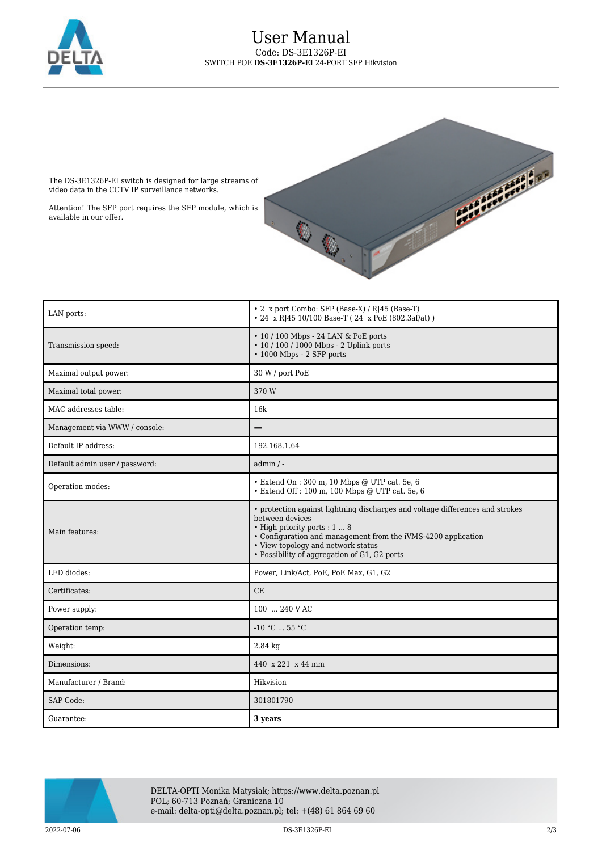



The DS-3E1326P-EI switch is designed for large streams of video data in the CCTV IP surveillance networks.

Attention! The SFP port requires the SFP module, which is available in our offer.

| LAN ports:                     | • 2 x port Combo: SFP (Base-X) / RJ45 (Base-T)                                                                                                                                                                                                                                          |
|--------------------------------|-----------------------------------------------------------------------------------------------------------------------------------------------------------------------------------------------------------------------------------------------------------------------------------------|
|                                | • 24 x RJ45 10/100 Base-T (24 x PoE (802.3af/at))                                                                                                                                                                                                                                       |
| Transmission speed:            | • 10 / 100 Mbps - 24 LAN & PoE ports<br>• 10 / 100 / 1000 Mbps - 2 Uplink ports<br>• 1000 Mbps - 2 SFP ports                                                                                                                                                                            |
| Maximal output power:          | 30 W / port PoE                                                                                                                                                                                                                                                                         |
| Maximal total power:           | 370 W                                                                                                                                                                                                                                                                                   |
| MAC addresses table:           | 16k                                                                                                                                                                                                                                                                                     |
| Management via WWW / console:  | -                                                                                                                                                                                                                                                                                       |
| Default IP address:            | 192.168.1.64                                                                                                                                                                                                                                                                            |
| Default admin user / password: | $admin / -$                                                                                                                                                                                                                                                                             |
| Operation modes:               | · Extend On: 300 m, 10 Mbps @ UTP cat. 5e, 6<br>$\bullet$ Extend Off : 100 m, 100 Mbps @ UTP cat. 5e, 6                                                                                                                                                                                 |
| Main features:                 | • protection against lightning discharges and voltage differences and strokes<br>between devices<br>• High priority ports : 1  8<br>• Configuration and management from the iVMS-4200 application<br>• View topology and network status<br>• Possibility of aggregation of G1, G2 ports |
| LED diodes:                    | Power, Link/Act, PoE, PoE Max, G1, G2                                                                                                                                                                                                                                                   |
| Certificates:                  | CE                                                                                                                                                                                                                                                                                      |
| Power supply:                  | 100  240 V AC                                                                                                                                                                                                                                                                           |
| Operation temp:                | $-10 °C$ 55 °C                                                                                                                                                                                                                                                                          |
| Weight:                        | $2.84$ kg                                                                                                                                                                                                                                                                               |
| Dimensions:                    | 440 x 221 x 44 mm                                                                                                                                                                                                                                                                       |
| Manufacturer / Brand:          | Hikvision                                                                                                                                                                                                                                                                               |
| SAP Code:                      | 301801790                                                                                                                                                                                                                                                                               |
| Guarantee:                     | 3 years                                                                                                                                                                                                                                                                                 |



DELTA-OPTI Monika Matysiak; https://www.delta.poznan.pl POL; 60-713 Poznań; Graniczna 10 e-mail: delta-opti@delta.poznan.pl; tel: +(48) 61 864 69 60